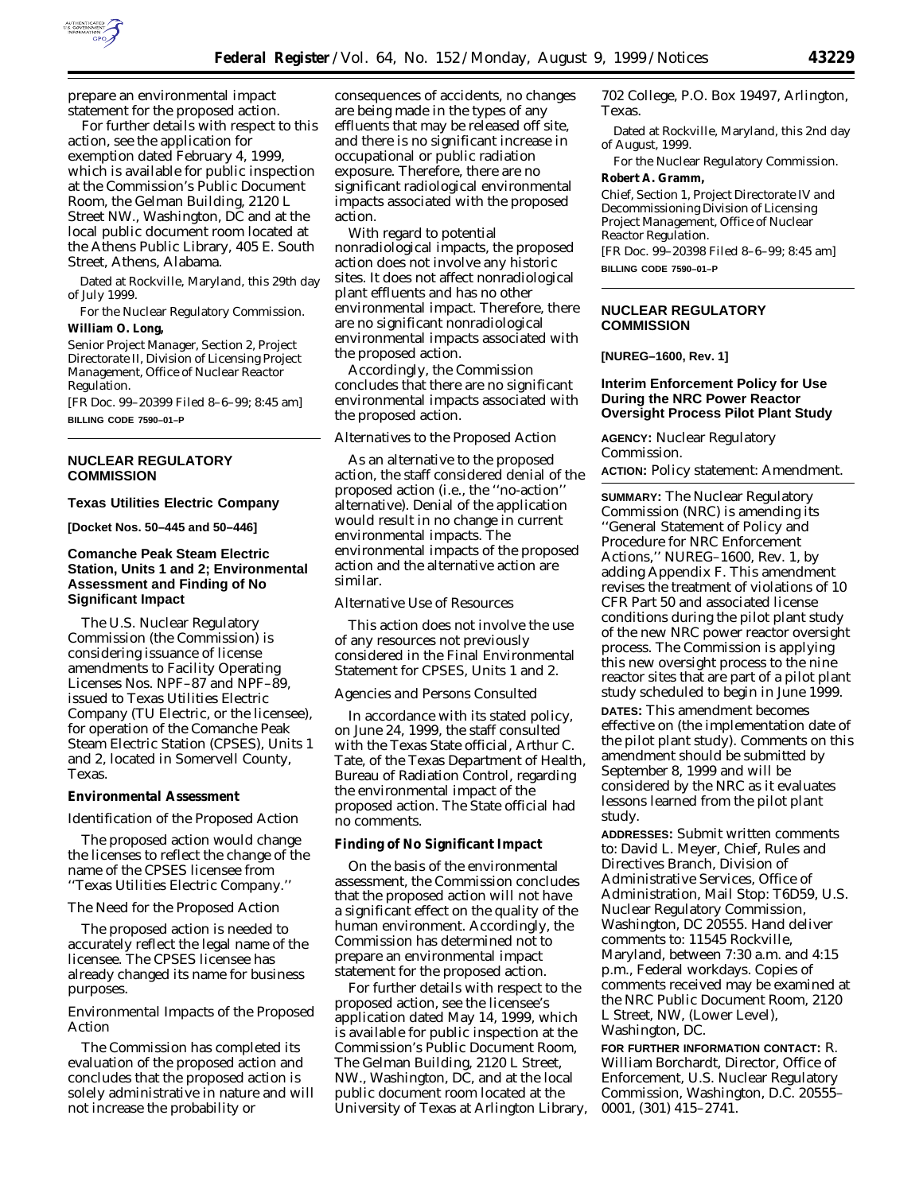

prepare an environmental impact statement for the proposed action.

For further details with respect to this action, see the application for exemption dated February 4, 1999, which is available for public inspection at the Commission's Public Document Room, the Gelman Building, 2120 L Street NW., Washington, DC and at the local public document room located at the Athens Public Library, 405 E. South Street, Athens, Alabama.

Dated at Rockville, Maryland, this 29th day of July 1999.

For the Nuclear Regulatory Commission.

# **William O. Long,**

*Senior Project Manager, Section 2, Project Directorate II, Division of Licensing Project Management, Office of Nuclear Reactor Regulation.*

[FR Doc. 99–20399 Filed 8–6–99; 8:45 am] **BILLING CODE 7590–01–P**

## **NUCLEAR REGULATORY COMMISSION**

#### **Texas Utilities Electric Company**

**[Docket Nos. 50–445 and 50–446]**

## **Comanche Peak Steam Electric Station, Units 1 and 2; Environmental Assessment and Finding of No Significant Impact**

The U.S. Nuclear Regulatory Commission (the Commission) is considering issuance of license amendments to Facility Operating Licenses Nos. NPF–87 and NPF–89, issued to Texas Utilities Electric Company (TU Electric, or the licensee), for operation of the Comanche Peak Steam Electric Station (CPSES), Units 1 and 2, located in Somervell County, Texas.

## **Environmental Assessment**

#### *Identification of the Proposed Action*

The proposed action would change the licenses to reflect the change of the name of the CPSES licensee from ''Texas Utilities Electric Company.''

#### *The Need for the Proposed Action*

The proposed action is needed to accurately reflect the legal name of the licensee. The CPSES licensee has already changed its name for business purposes.

## *Environmental Impacts of the Proposed Action*

The Commission has completed its evaluation of the proposed action and concludes that the proposed action is solely administrative in nature and will not increase the probability or

consequences of accidents, no changes are being made in the types of any effluents that may be released off site, and there is no significant increase in occupational or public radiation exposure. Therefore, there are no significant radiological environmental impacts associated with the proposed action.

With regard to potential nonradiological impacts, the proposed action does not involve any historic sites. It does not affect nonradiological plant effluents and has no other environmental impact. Therefore, there are no significant nonradiological environmental impacts associated with the proposed action.

Accordingly, the Commission concludes that there are no significant environmental impacts associated with the proposed action.

#### *Alternatives to the Proposed Action*

As an alternative to the proposed action, the staff considered denial of the proposed action (*i.e.,* the ''no-action'' alternative). Denial of the application would result in no change in current environmental impacts. The environmental impacts of the proposed action and the alternative action are similar.

#### *Alternative Use of Resources*

This action does not involve the use of any resources not previously considered in the Final Environmental Statement for CPSES, Units 1 and 2.

#### *Agencies and Persons Consulted*

In accordance with its stated policy, on June 24, 1999, the staff consulted with the Texas State official, Arthur C. Tate, of the Texas Department of Health, Bureau of Radiation Control, regarding the environmental impact of the proposed action. The State official had no comments.

## **Finding of No Significant Impact**

On the basis of the environmental assessment, the Commission concludes that the proposed action will not have a significant effect on the quality of the human environment. Accordingly, the Commission has determined not to prepare an environmental impact statement for the proposed action.

For further details with respect to the proposed action, see the licensee's application dated May 14, 1999, which is available for public inspection at the Commission's Public Document Room, The Gelman Building, 2120 L Street, NW., Washington, DC, and at the local public document room located at the University of Texas at Arlington Library, 702 College, P.O. Box 19497, Arlington, Texas.

Dated at Rockville, Maryland, this 2nd day of August, 1999.

For the Nuclear Regulatory Commission. **Robert A. Gramm,**

*Chief, Section 1, Project Directorate IV and Decommissioning Division of Licensing Project Management, Office of Nuclear Reactor Regulation.* [FR Doc. 99–20398 Filed 8–6–99; 8:45 am]

**BILLING CODE 7590–01–P**

## **NUCLEAR REGULATORY COMMISSION**

## **[NUREG–1600, Rev. 1]**

## **Interim Enforcement Policy for Use During the NRC Power Reactor Oversight Process Pilot Plant Study**

**AGENCY:** Nuclear Regulatory Commission.

**ACTION:** Policy statement: Amendment.

**SUMMARY:** The Nuclear Regulatory Commission (NRC) is amending its ''General Statement of Policy and Procedure for NRC Enforcement Actions,'' NUREG–1600, Rev. 1, by adding Appendix F. This amendment revises the treatment of violations of 10 CFR Part 50 and associated license conditions during the pilot plant study of the new NRC power reactor oversight process. The Commission is applying this new oversight process to the nine reactor sites that are part of a pilot plant study scheduled to begin in June 1999. **DATES:** This amendment becomes effective on (the implementation date of the pilot plant study). Comments on this

amendment should be submitted by September 8, 1999 and will be considered by the NRC as it evaluates lessons learned from the pilot plant study.

**ADDRESSES:** Submit written comments to: David L. Meyer, Chief, Rules and Directives Branch, Division of Administrative Services, Office of Administration, Mail Stop: T6D59, U.S. Nuclear Regulatory Commission, Washington, DC 20555. Hand deliver comments to: 11545 Rockville, Maryland, between 7:30 a.m. and 4:15 p.m., Federal workdays. Copies of comments received may be examined at the NRC Public Document Room, 2120 L Street, NW, (Lower Level), Washington, DC.

**FOR FURTHER INFORMATION CONTACT:** R. William Borchardt, Director, Office of Enforcement, U.S. Nuclear Regulatory Commission, Washington, D.C. 20555– 0001, (301) 415–2741.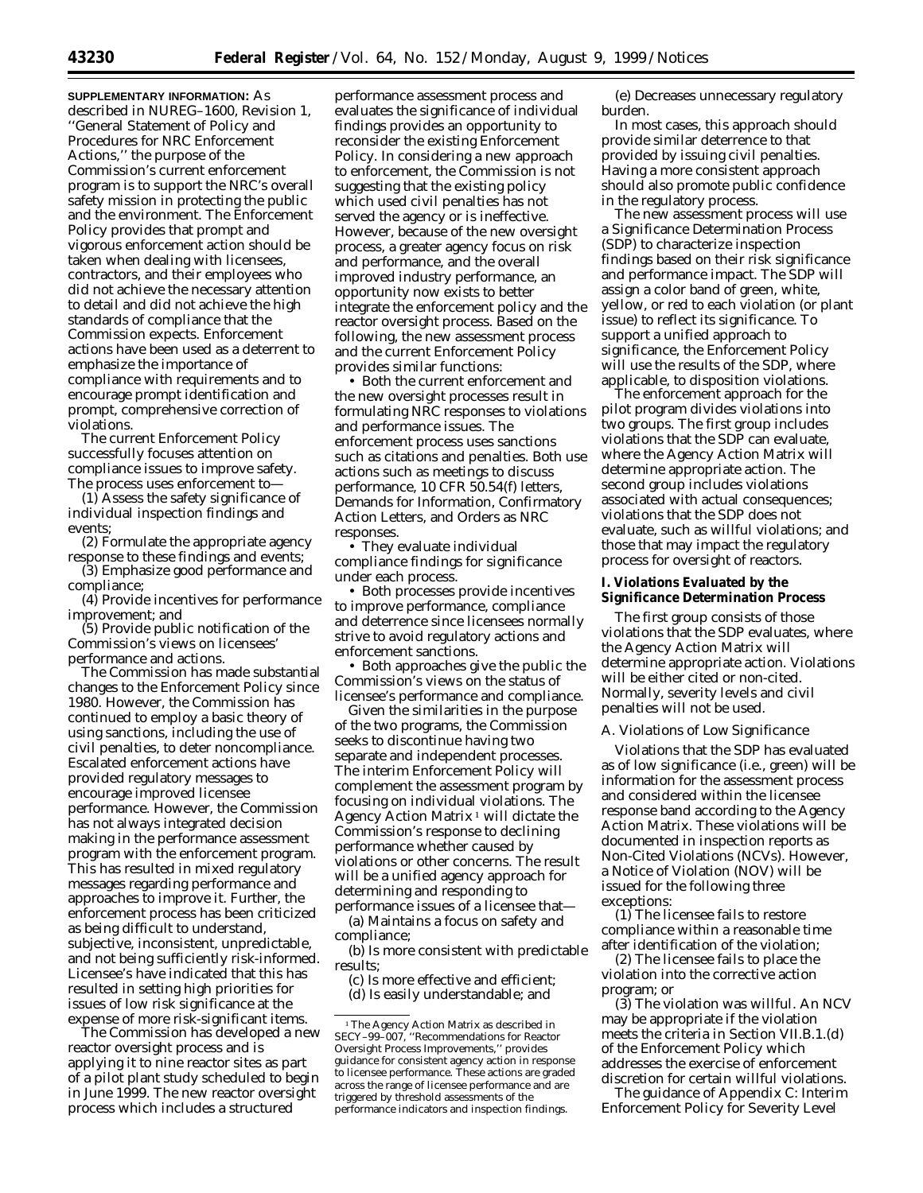**SUPPLEMENTARY INFORMATION:** As described in NUREG–1600, Revision 1, ''General Statement of Policy and Procedures for NRC Enforcement Actions,'' the purpose of the Commission's current enforcement program is to support the NRC's overall safety mission in protecting the public and the environment. The Enforcement Policy provides that prompt and vigorous enforcement action should be taken when dealing with licensees, contractors, and their employees who did not achieve the necessary attention to detail and did not achieve the high standards of compliance that the Commission expects. Enforcement actions have been used as a deterrent to emphasize the importance of compliance with requirements and to encourage prompt identification and prompt, comprehensive correction of violations.

The current Enforcement Policy successfully focuses attention on compliance issues to improve safety. The process uses enforcement to—

(1) Assess the safety significance of individual inspection findings and events;

(2) Formulate the appropriate agency response to these findings and events;

(3) Emphasize good performance and compliance;

(4) Provide incentives for performance improvement; and

(5) Provide public notification of the Commission's views on licensees' performance and actions.

The Commission has made substantial changes to the Enforcement Policy since 1980. However, the Commission has continued to employ a basic theory of using sanctions, including the use of civil penalties, to deter noncompliance. Escalated enforcement actions have provided regulatory messages to encourage improved licensee performance. However, the Commission has not always integrated decision making in the performance assessment program with the enforcement program. This has resulted in mixed regulatory messages regarding performance and approaches to improve it. Further, the enforcement process has been criticized as being difficult to understand, subjective, inconsistent, unpredictable, and not being sufficiently risk-informed. Licensee's have indicated that this has resulted in setting high priorities for issues of low risk significance at the expense of more risk-significant items.

The Commission has developed a new reactor oversight process and is applying it to nine reactor sites as part of a pilot plant study scheduled to begin in June 1999. The new reactor oversight process which includes a structured

performance assessment process and evaluates the significance of individual findings provides an opportunity to reconsider the existing Enforcement Policy. In considering a new approach to enforcement, the Commission is not suggesting that the existing policy which used civil penalties has not served the agency or is ineffective. However, because of the new oversight process, a greater agency focus on risk and performance, and the overall improved industry performance, an opportunity now exists to better integrate the enforcement policy and the reactor oversight process. Based on the following, the new assessment process and the current Enforcement Policy provides similar functions:

• Both the current enforcement and the new oversight processes result in formulating NRC responses to violations and performance issues. The enforcement process uses sanctions such as citations and penalties. Both use actions such as meetings to discuss performance, 10 CFR 50.54(f) letters, Demands for Information, Confirmatory Action Letters, and Orders as NRC responses.

• They evaluate individual compliance findings for significance under each process.

• Both processes provide incentives to improve performance, compliance and deterrence since licensees normally strive to avoid regulatory actions and enforcement sanctions.

• Both approaches give the public the Commission's views on the status of licensee's performance and compliance.

Given the similarities in the purpose of the two programs, the Commission seeks to discontinue having two separate and independent processes. The interim Enforcement Policy will complement the assessment program by focusing on individual violations. The Agency Action Matrix  $1$  will dictate the Commission's response to declining performance whether caused by violations or other concerns. The result will be a unified agency approach for determining and responding to performance issues of a licensee that—

(a) Maintains a focus on safety and compliance;

(b) Is more consistent with predictable results;

(c) Is more effective and efficient; (d) Is easily understandable; and

(e) Decreases unnecessary regulatory burden.

In most cases, this approach should provide similar deterrence to that provided by issuing civil penalties. Having a more consistent approach should also promote public confidence in the regulatory process.

The new assessment process will use a Significance Determination Process (SDP) to characterize inspection findings based on their risk significance and performance impact. The SDP will assign a color band of green, white, yellow, or red to each violation (or plant issue) to reflect its significance. To support a unified approach to significance, the Enforcement Policy will use the results of the SDP, where applicable, to disposition violations.

The enforcement approach for the pilot program divides violations into two groups. The first group includes violations that the SDP can evaluate, where the Agency Action Matrix will determine appropriate action. The second group includes violations associated with actual consequences; violations that the SDP does not evaluate, such as willful violations; and those that may impact the regulatory process for oversight of reactors.

#### **I. Violations Evaluated by the Significance Determination Process**

The first group consists of those violations that the SDP evaluates, where the Agency Action Matrix will determine appropriate action. Violations will be either cited or non-cited. Normally, severity levels and civil penalties will not be used.

## *A. Violations of Low Significance*

Violations that the SDP has evaluated as of low significance (*i.e.*, green) will be information for the assessment process and considered within the licensee response band according to the Agency Action Matrix. These violations will be documented in inspection reports as Non-Cited Violations (NCVs). However, a Notice of Violation (NOV) will be issued for the following three exceptions:

(1) The licensee fails to restore compliance within a reasonable time after identification of the violation;

(2) The licensee fails to place the violation into the corrective action program; or

(3) The violation was willful. An NCV may be appropriate if the violation meets the criteria in Section VII.B.1.(d) of the Enforcement Policy which addresses the exercise of enforcement discretion for certain willful violations.

The guidance of Appendix C: Interim Enforcement Policy for Severity Level

<sup>1</sup>The Agency Action Matrix as described in SECY–99–007, ''Recommendations for Reactor Oversight Process Improvements,'' provides guidance for consistent agency action in response to licensee performance. These actions are graded across the range of licensee performance and are triggered by threshold assessments of the performance indicators and inspection findings.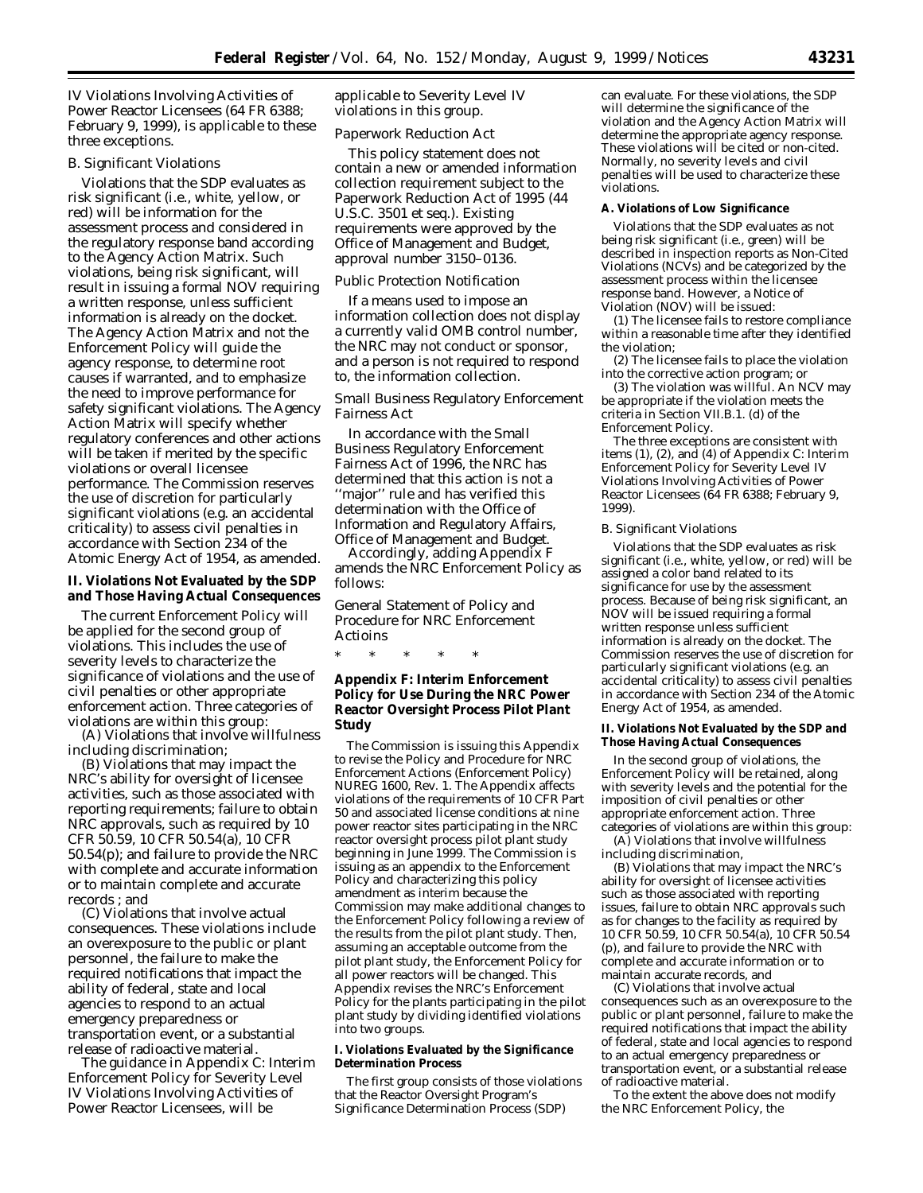IV Violations Involving Activities of Power Reactor Licensees (64 FR 6388; February 9, 1999), is applicable to these three exceptions.

#### *B. Significant Violations*

Violations that the SDP evaluates as risk significant (*i.e.*, white, yellow, or red) will be information for the assessment process and considered in the regulatory response band according to the Agency Action Matrix. Such violations, being risk significant, will result in issuing a formal NOV requiring a written response, unless sufficient information is already on the docket. The Agency Action Matrix and not the Enforcement Policy will guide the agency response, to determine root causes if warranted, and to emphasize the need to improve performance for safety significant violations. The Agency Action Matrix will specify whether regulatory conferences and other actions will be taken if merited by the specific violations or overall licensee performance. The Commission reserves the use of discretion for particularly significant violations (*e.g.* an accidental criticality) to assess civil penalties in accordance with Section 234 of the Atomic Energy Act of 1954, as amended.

## **II. Violations Not Evaluated by the SDP and Those Having Actual Consequences**

The current Enforcement Policy will be applied for the second group of violations. This includes the use of severity levels to characterize the significance of violations and the use of civil penalties or other appropriate enforcement action. Three categories of violations are within this group:

(A) Violations that involve willfulness including discrimination;

(B) Violations that may impact the NRC's ability for oversight of licensee activities, such as those associated with reporting requirements; failure to obtain NRC approvals, such as required by 10 CFR 50.59, 10 CFR 50.54(a), 10 CFR 50.54(p); and failure to provide the NRC with complete and accurate information or to maintain complete and accurate records ; and

(C) Violations that involve actual consequences. These violations include an overexposure to the public or plant personnel, the failure to make the required notifications that impact the ability of federal, state and local agencies to respond to an actual emergency preparedness or transportation event, or a substantial release of radioactive material.

The guidance in Appendix C: Interim Enforcement Policy for Severity Level IV Violations Involving Activities of Power Reactor Licensees, will be

applicable to Severity Level IV violations in this group.

#### *Paperwork Reduction Act*

This policy statement does not contain a new or amended information collection requirement subject to the Paperwork Reduction Act of 1995 (44 U.S.C. 3501 *et seq.*). Existing requirements were approved by the Office of Management and Budget, approval number 3150–0136.

## *Public Protection Notification*

If a means used to impose an information collection does not display a currently valid OMB control number, the NRC may not conduct or sponsor, and a person is not required to respond to, the information collection.

## *Small Business Regulatory Enforcement Fairness Act*

In accordance with the Small Business Regulatory Enforcement Fairness Act of 1996, the NRC has determined that this action is not a ''major'' rule and has verified this determination with the Office of Information and Regulatory Affairs, Office of Management and Budget.

Accordingly, adding Appendix F amends the NRC Enforcement Policy as follows:

General Statement of Policy and Procedure for NRC Enforcement Actioins

\* \* \* \* \*

## **Appendix F: Interim Enforcement Policy for Use During the NRC Power Reactor Oversight Process Pilot Plant Study**

The Commission is issuing this Appendix to revise the Policy and Procedure for NRC Enforcement Actions (Enforcement Policy) NUREG 1600, Rev. 1. The Appendix affects violations of the requirements of 10 CFR Part 50 and associated license conditions at nine power reactor sites participating in the NRC reactor oversight process pilot plant study beginning in June 1999. The Commission is issuing as an appendix to the Enforcement Policy and characterizing this policy amendment as interim because the Commission may make additional changes to the Enforcement Policy following a review of the results from the pilot plant study. Then, assuming an acceptable outcome from the pilot plant study, the Enforcement Policy for all power reactors will be changed. This Appendix revises the NRC's Enforcement Policy for the plants participating in the pilot plant study by dividing identified violations into two groups.

#### **I. Violations Evaluated by the Significance Determination Process**

The first group consists of those violations that the Reactor Oversight Program's Significance Determination Process (SDP)

can evaluate. For these violations, the SDP will determine the significance of the violation and the Agency Action Matrix will determine the appropriate agency response. These violations will be cited or non-cited. Normally, no severity levels and civil penalties will be used to characterize these violations.

#### **A. Violations of Low Significance**

Violations that the SDP evaluates as not being risk significant (*i.e.*, green) will be described in inspection reports as Non-Cited Violations (NCVs) and be categorized by the assessment process within the licensee response band. However, a Notice of Violation (NOV) will be issued:

(1) The licensee fails to restore compliance within a reasonable time after they identified the violation;

(2) The licensee fails to place the violation into the corrective action program; or

(3) The violation was willful. An NCV may be appropriate if the violation meets the criteria in Section VII.B.1. (d) of the Enforcement Policy.

The three exceptions are consistent with items (1), (2), and (4) of Appendix C: Interim Enforcement Policy for Severity Level IV Violations Involving Activities of Power Reactor Licensees (64 FR 6388; February 9, 1999).

## *B. Significant Violations*

Violations that the SDP evaluates as risk significant (*i.e.,* white, yellow, or red) will be assigned a color band related to its significance for use by the assessment process. Because of being risk significant, an NOV will be issued requiring a formal written response unless sufficient information is already on the docket. The Commission reserves the use of discretion for particularly significant violations (*e.g.* an accidental criticality) to assess civil penalties in accordance with Section 234 of the Atomic Energy Act of 1954, as amended.

#### **II. Violations Not Evaluated by the SDP and Those Having Actual Consequences**

In the second group of violations, the Enforcement Policy will be retained, along with severity levels and the potential for the imposition of civil penalties or other appropriate enforcement action. Three categories of violations are within this group:

(A) Violations that involve willfulness including discrimination,

(B) Violations that may impact the NRC's ability for oversight of licensee activities such as those associated with reporting issues, failure to obtain NRC approvals such as for changes to the facility as required by 10 CFR 50.59, 10 CFR 50.54(a), 10 CFR 50.54 (p), and failure to provide the NRC with complete and accurate information or to maintain accurate records, and

(C) Violations that involve actual consequences such as an overexposure to the public or plant personnel, failure to make the required notifications that impact the ability of federal, state and local agencies to respond to an actual emergency preparedness or transportation event, or a substantial release of radioactive material.

To the extent the above does not modify the NRC Enforcement Policy, the